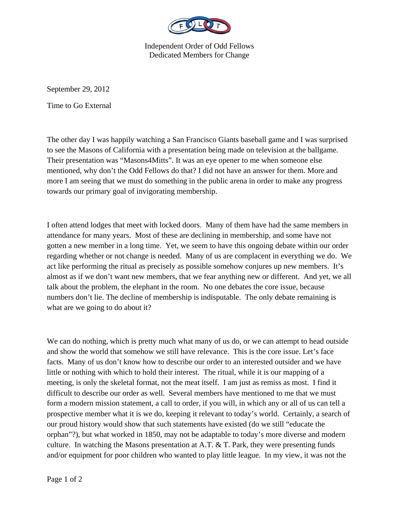

Independent Order of Odd Fellows Dedicated Members for Change

September 29, 2012

Time to Go External

The other day I was happily watching a San Francisco Giants baseball game and I was surprised to see the Masons of California with a presentation being made on television at the ballgame. Their presentation was "Masons4Mitts". It was an eye opener to me when someone else mentioned, why don't the Odd Fellows do that? I did not have an answer for them. More and more I am seeing that we must do something in the public arena in order to make any progress towards our primary goal of invigorating membership.

I often attend lodges that meet with locked doors. Many of them have had the same members in attendance for many years. Most of these are declining in membership, and some have not gotten a new member in a long time. Yet, we seem to have this ongoing debate within our order regarding whether or not change is needed. Many of us are complacent in everything we do. We act like performing the ritual as precisely as possible somehow conjures up new members. It's almost as if we don't want new members, that we fear anything new or different. And yet, we all talk about the problem, the elephant in the room. No one debates the core issue, because numbers don't lie. The decline of membership is indisputable. The only debate remaining is what are we going to do about it?

We can do nothing, which is pretty much what many of us do, or we can attempt to head outside and show the world that somehow we still have relevance. This is the core issue. Let's face facts. Many of us don't know how to describe our order to an interested outsider and we have little or nothing with which to hold their interest. The ritual, while it is our mapping of a meeting, is only the skeletal format, not the meat itself. I am just as remiss as most. I find it difficult to describe our order as well. Several members have mentioned to me that we must form a modern mission statement, a call to order, if you will, in which any or all of us can tell a prospective member what it is we do, keeping it relevant to today's world. Certainly, a search of our proud history would show that such statements have existed (do we still "educate the orphan"?), but what worked in 1850, may not be adaptable to today's more diverse and modern culture. In watching the Masons presentation at A.T. & T. Park, they were presenting funds and/or equipment for poor children who wanted to play little league. In my view, it was not the